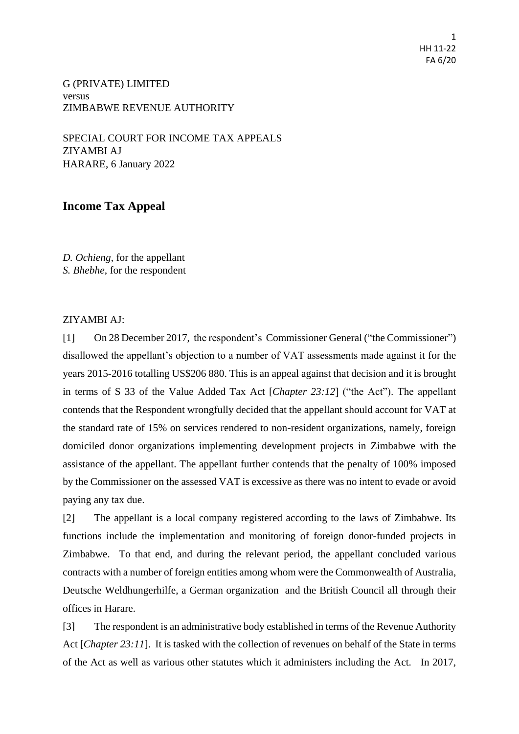1 HH 11-22 FA 6/20

G (PRIVATE) LIMITED versus ZIMBABWE REVENUE AUTHORITY

SPECIAL COURT FOR INCOME TAX APPEALS ZIYAMBI AJ HARARE, 6 January 2022

## **Income Tax Appeal**

*D. Ochieng*, for the appellant *S. Bhebhe*, for the respondent

## ZIYAMBI AJ:

[1] On 28 December 2017, the respondent's Commissioner General ("the Commissioner") disallowed the appellant's objection to a number of VAT assessments made against it for the years 2015-2016 totalling US\$206 880. This is an appeal against that decision and it is brought in terms of S 33 of the Value Added Tax Act [*Chapter 23:12*] ("the Act"). The appellant contends that the Respondent wrongfully decided that the appellant should account for VAT at the standard rate of 15% on services rendered to non-resident organizations, namely, foreign domiciled donor organizations implementing development projects in Zimbabwe with the assistance of the appellant. The appellant further contends that the penalty of 100% imposed by the Commissioner on the assessed VAT is excessive as there was no intent to evade or avoid paying any tax due.

[2] The appellant is a local company registered according to the laws of Zimbabwe. Its functions include the implementation and monitoring of foreign donor-funded projects in Zimbabwe. To that end, and during the relevant period, the appellant concluded various contracts with a number of foreign entities among whom were the Commonwealth of Australia, Deutsche Weldhungerhilfe, a German organization and the British Council all through their offices in Harare.

[3] The respondent is an administrative body established in terms of the Revenue Authority Act [*Chapter 23:11*]. It is tasked with the collection of revenues on behalf of the State in terms of the Act as well as various other statutes which it administers including the Act. In 2017,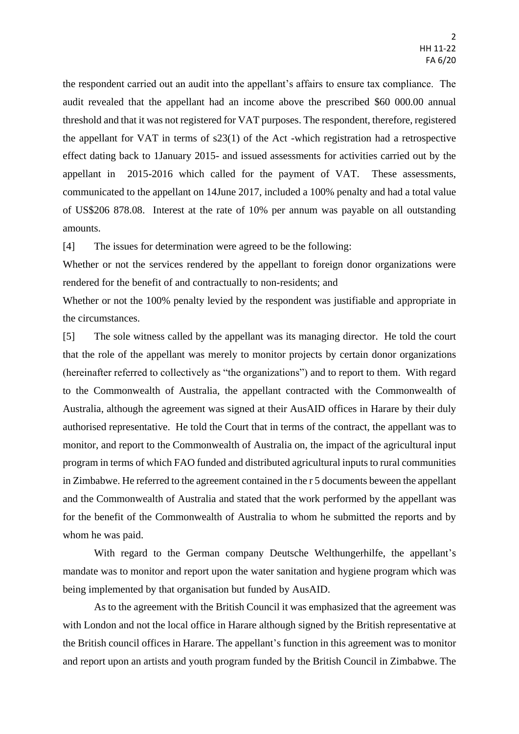the respondent carried out an audit into the appellant's affairs to ensure tax compliance. The audit revealed that the appellant had an income above the prescribed \$60 000.00 annual threshold and that it was not registered for VAT purposes. The respondent, therefore, registered the appellant for VAT in terms of s23(1) of the Act -which registration had a retrospective effect dating back to 1January 2015- and issued assessments for activities carried out by the appellant in 2015-2016 which called for the payment of VAT. These assessments, communicated to the appellant on 14June 2017, included a 100% penalty and had a total value of US\$206 878.08. Interest at the rate of 10% per annum was payable on all outstanding amounts.

[4] The issues for determination were agreed to be the following:

Whether or not the services rendered by the appellant to foreign donor organizations were rendered for the benefit of and contractually to non-residents; and

Whether or not the 100% penalty levied by the respondent was justifiable and appropriate in the circumstances.

[5] The sole witness called by the appellant was its managing director. He told the court that the role of the appellant was merely to monitor projects by certain donor organizations (hereinafter referred to collectively as "the organizations") and to report to them. With regard to the Commonwealth of Australia, the appellant contracted with the Commonwealth of Australia, although the agreement was signed at their AusAID offices in Harare by their duly authorised representative. He told the Court that in terms of the contract, the appellant was to monitor, and report to the Commonwealth of Australia on, the impact of the agricultural input program in terms of which FAO funded and distributed agricultural inputs to rural communities in Zimbabwe. He referred to the agreement contained in the r 5 documents beween the appellant and the Commonwealth of Australia and stated that the work performed by the appellant was for the benefit of the Commonwealth of Australia to whom he submitted the reports and by whom he was paid.

With regard to the German company Deutsche Welthungerhilfe, the appellant's mandate was to monitor and report upon the water sanitation and hygiene program which was being implemented by that organisation but funded by AusAID.

As to the agreement with the British Council it was emphasized that the agreement was with London and not the local office in Harare although signed by the British representative at the British council offices in Harare. The appellant's function in this agreement was to monitor and report upon an artists and youth program funded by the British Council in Zimbabwe. The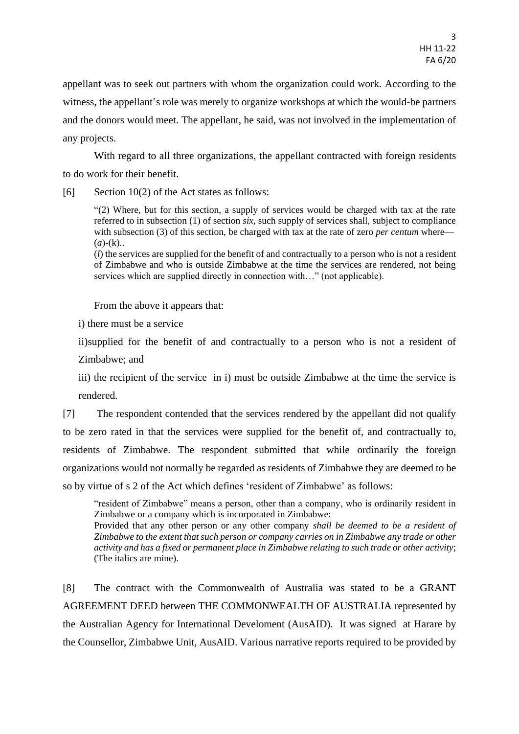appellant was to seek out partners with whom the organization could work. According to the witness, the appellant's role was merely to organize workshops at which the would-be partners and the donors would meet. The appellant, he said, was not involved in the implementation of any projects.

With regard to all three organizations, the appellant contracted with foreign residents to do work for their benefit.

[6] Section 10(2) of the Act states as follows:

"(2) Where, but for this section, a supply of services would be charged with tax at the rate referred to in subsection (1) of section *six*, such supply of services shall, subject to compliance with subsection (3) of this section, be charged with tax at the rate of zero *per centum* where—  $(a)$ - $(k)$ ..

(*l*) the services are supplied for the benefit of and contractually to a person who is not a resident of Zimbabwe and who is outside Zimbabwe at the time the services are rendered, not being services which are supplied directly in connection with…" (not applicable).

From the above it appears that:

i) there must be a service

ii)supplied for the benefit of and contractually to a person who is not a resident of Zimbabwe; and

iii) the recipient of the service in i) must be outside Zimbabwe at the time the service is rendered.

[7] The respondent contended that the services rendered by the appellant did not qualify to be zero rated in that the services were supplied for the benefit of, and contractually to, residents of Zimbabwe. The respondent submitted that while ordinarily the foreign organizations would not normally be regarded as residents of Zimbabwe they are deemed to be so by virtue of s 2 of the Act which defines 'resident of Zimbabwe' as follows:

"resident of Zimbabwe" means a person, other than a company, who is ordinarily resident in Zimbabwe or a company which is incorporated in Zimbabwe:

Provided that any other person or any other company *shall be deemed to be a resident of Zimbabwe to the extent that such person or company carries on in Zimbabwe any trade or other activity and has a fixed or permanent place in Zimbabwe relating to such trade or other activity*; (The italics are mine).

[8] The contract with the Commonwealth of Australia was stated to be a GRANT AGREEMENT DEED between THE COMMONWEALTH OF AUSTRALIA represented by the Australian Agency for International Develoment (AusAID). It was signed at Harare by the Counsellor, Zimbabwe Unit, AusAID. Various narrative reports required to be provided by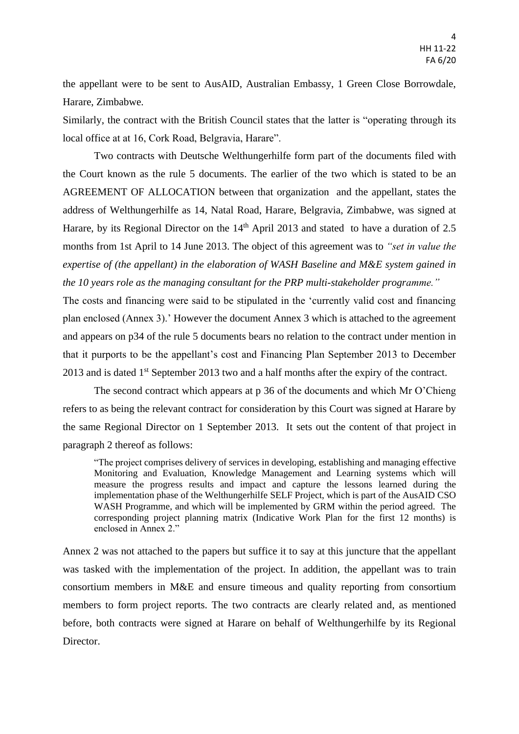the appellant were to be sent to AusAID, Australian Embassy, 1 Green Close Borrowdale, Harare, Zimbabwe.

Similarly, the contract with the British Council states that the latter is "operating through its local office at at 16, Cork Road, Belgravia, Harare".

Two contracts with Deutsche Welthungerhilfe form part of the documents filed with the Court known as the rule 5 documents. The earlier of the two which is stated to be an AGREEMENT OF ALLOCATION between that organization and the appellant, states the address of Welthungerhilfe as 14, Natal Road, Harare, Belgravia, Zimbabwe, was signed at Harare, by its Regional Director on the  $14<sup>th</sup>$  April 2013 and stated to have a duration of 2.5 months from 1st April to 14 June 2013. The object of this agreement was to *"set in value the expertise of (the appellant) in the elaboration of WASH Baseline and M&E system gained in the 10 years role as the managing consultant for the PRP multi-stakeholder programme."*

The costs and financing were said to be stipulated in the 'currently valid cost and financing plan enclosed (Annex 3).' However the document Annex 3 which is attached to the agreement and appears on p34 of the rule 5 documents bears no relation to the contract under mention in that it purports to be the appellant's cost and Financing Plan September 2013 to December 2013 and is dated 1<sup>st</sup> September 2013 two and a half months after the expiry of the contract.

The second contract which appears at p 36 of the documents and which Mr O'Chieng refers to as being the relevant contract for consideration by this Court was signed at Harare by the same Regional Director on 1 September 2013. It sets out the content of that project in paragraph 2 thereof as follows:

"The project comprises delivery of services in developing, establishing and managing effective Monitoring and Evaluation, Knowledge Management and Learning systems which will measure the progress results and impact and capture the lessons learned during the implementation phase of the Welthungerhilfe SELF Project, which is part of the AusAID CSO WASH Programme, and which will be implemented by GRM within the period agreed. The corresponding project planning matrix (Indicative Work Plan for the first 12 months) is enclosed in Annex 2."

Annex 2 was not attached to the papers but suffice it to say at this juncture that the appellant was tasked with the implementation of the project. In addition, the appellant was to train consortium members in M&E and ensure timeous and quality reporting from consortium members to form project reports. The two contracts are clearly related and, as mentioned before, both contracts were signed at Harare on behalf of Welthungerhilfe by its Regional Director.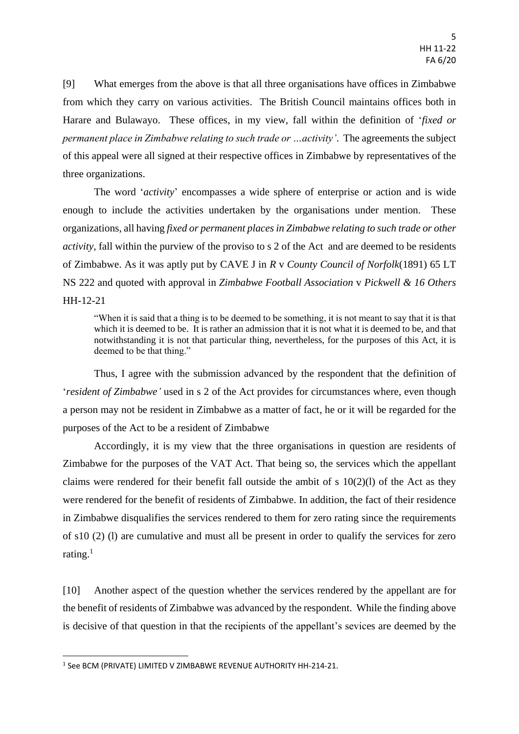[9] What emerges from the above is that all three organisations have offices in Zimbabwe from which they carry on various activities. The British Council maintains offices both in Harare and Bulawayo. These offices, in my view, fall within the definition of '*fixed or permanent place in Zimbabwe relating to such trade or …activity'*. The agreements the subject of this appeal were all signed at their respective offices in Zimbabwe by representatives of the three organizations.

The word '*activity*' encompasses a wide sphere of enterprise or action and is wide enough to include the activities undertaken by the organisations under mention. These organizations, all having *fixed or permanent places in Zimbabwe relating to such trade or other activity*, fall within the purview of the proviso to s 2 of the Act and are deemed to be residents of Zimbabwe. As it was aptly put by CAVE J in *R* v *County Council of Norfolk*(1891) 65 LT NS 222 and quoted with approval in *Zimbabwe Football Association* v *Pickwell & 16 Others* HH-12-21

"When it is said that a thing is to be deemed to be something, it is not meant to say that it is that which it is deemed to be. It is rather an admission that it is not what it is deemed to be, and that notwithstanding it is not that particular thing, nevertheless, for the purposes of this Act, it is deemed to be that thing."

Thus, I agree with the submission advanced by the respondent that the definition of '*resident of Zimbabwe'* used in s 2 of the Act provides for circumstances where, even though a person may not be resident in Zimbabwe as a matter of fact, he or it will be regarded for the purposes of the Act to be a resident of Zimbabwe

Accordingly, it is my view that the three organisations in question are residents of Zimbabwe for the purposes of the VAT Act. That being so, the services which the appellant claims were rendered for their benefit fall outside the ambit of s  $10(2)(1)$  of the Act as they were rendered for the benefit of residents of Zimbabwe. In addition, the fact of their residence in Zimbabwe disqualifies the services rendered to them for zero rating since the requirements of s10 (2) (l) are cumulative and must all be present in order to qualify the services for zero rating. $1$ 

[10] Another aspect of the question whether the services rendered by the appellant are for the benefit of residents of Zimbabwe was advanced by the respondent. While the finding above is decisive of that question in that the recipients of the appellant's sevices are deemed by the

**.** 

 $^1$  See BCM (PRIVATE) LIMITED V ZIMBABWE REVENUE AUTHORITY HH-214-21.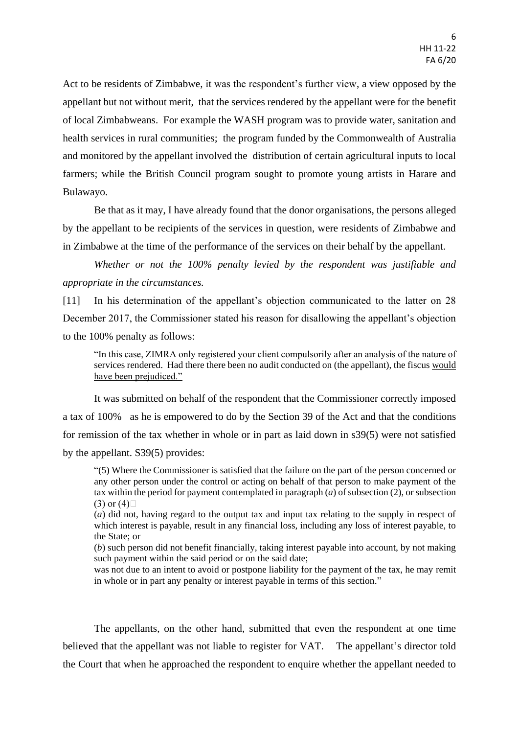Act to be residents of Zimbabwe, it was the respondent's further view, a view opposed by the appellant but not without merit, that the services rendered by the appellant were for the benefit of local Zimbabweans. For example the WASH program was to provide water, sanitation and health services in rural communities; the program funded by the Commonwealth of Australia and monitored by the appellant involved the distribution of certain agricultural inputs to local farmers; while the British Council program sought to promote young artists in Harare and Bulawayo.

Be that as it may, I have already found that the donor organisations, the persons alleged by the appellant to be recipients of the services in question, were residents of Zimbabwe and in Zimbabwe at the time of the performance of the services on their behalf by the appellant.

*Whether or not the 100% penalty levied by the respondent was justifiable and appropriate in the circumstances.*

[11] In his determination of the appellant's objection communicated to the latter on 28 December 2017, the Commissioner stated his reason for disallowing the appellant's objection to the 100% penalty as follows:

"In this case, ZIMRA only registered your client compulsorily after an analysis of the nature of services rendered. Had there there been no audit conducted on (the appellant), the fiscus would have been prejudiced."

It was submitted on behalf of the respondent that the Commissioner correctly imposed a tax of 100% as he is empowered to do by the Section 39 of the Act and that the conditions for remission of the tax whether in whole or in part as laid down in s39(5) were not satisfied by the appellant. S39(5) provides:

"(5) Where the Commissioner is satisfied that the failure on the part of the person concerned or any other person under the control or acting on behalf of that person to make payment of the tax within the period for payment contemplated in paragraph (*a*) of subsection (2), or subsection  $(3)$  or  $(4)$ 

(*a*) did not, having regard to the output tax and input tax relating to the supply in respect of which interest is payable, result in any financial loss, including any loss of interest payable, to the State; or

(*b*) such person did not benefit financially, taking interest payable into account, by not making such payment within the said period or on the said date:

was not due to an intent to avoid or postpone liability for the payment of the tax, he may remit in whole or in part any penalty or interest payable in terms of this section."

The appellants, on the other hand, submitted that even the respondent at one time believed that the appellant was not liable to register for VAT. The appellant's director told the Court that when he approached the respondent to enquire whether the appellant needed to